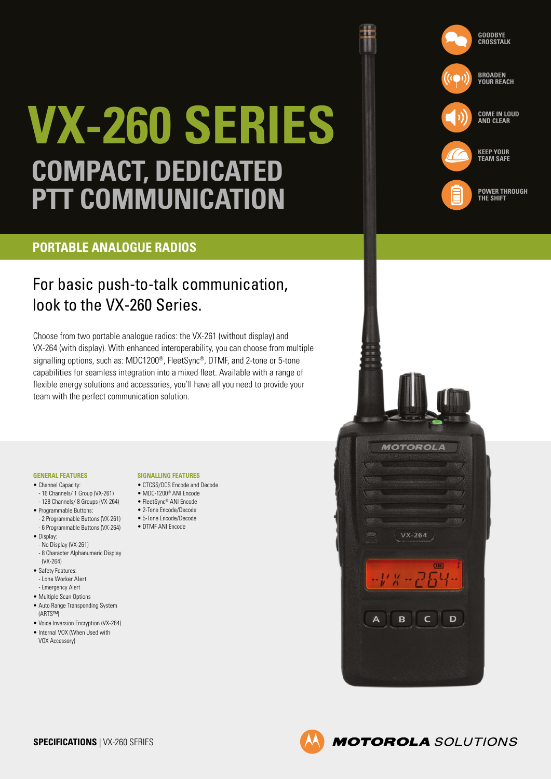# **VX-260 SERIES COMPACT, DEDICATED PTT COMMUNICATION**

### **PORTABLE ANALOGUE RADIOS**

## For basic push-to-talk communication, look to the VX-260 Series.

Choose from two portable analogue radios: the VX-261 (without display) and VX-264 (with display). With enhanced interoperability, you can choose from multiple signalling options, such as: MDC1200®, FleetSync®, DTMF, and 2-tone or 5-tone capabilities for seamless integration into a mixed fleet. Available with a range of flexible energy solutions and accessories, you'll have all you need to provide your team with the perfect communication solution.

#### **GENERAL FEATURES**

- Channel Canacity:
- 16 Channels/ 1 Group (VX-261) - 128 Channels/ 8 Groups (VX-264)
- Programmable Buttons:
	- 2 Programmable Buttons (VX-261) - 6 Programmable Buttons (VX-264)
- Display:
- No Display (VX-261) - 8 Character Alphanumeric Display (VX-264)
- Safety Features: - Lone Worker Alert
- Emergency Alert
- Multiple Scan Options
- Auto Range Transponding System (ARTS™)
- Voice Inversion Encryption (VX-264)
- Internal VOX (When Used with VOX Accessory)

#### **SIGNALLING FEATURES**

- CTCSS/DCS Encode and Decode
- MDC-1200® ANI Encode
- FleetSync® ANI Encode
- 2-Tone Encode/Decode • 5-Tone Encode/Decode
- DTMF ANI Encode
- 





**POWER THROUGH THE SHIFT**

**COME IN LOUD AND CLEAR**

**BROADEN YOUR REACH**

**GOODBYE CROSSTALK**

**KEEP YOUR TEAM SAFE**